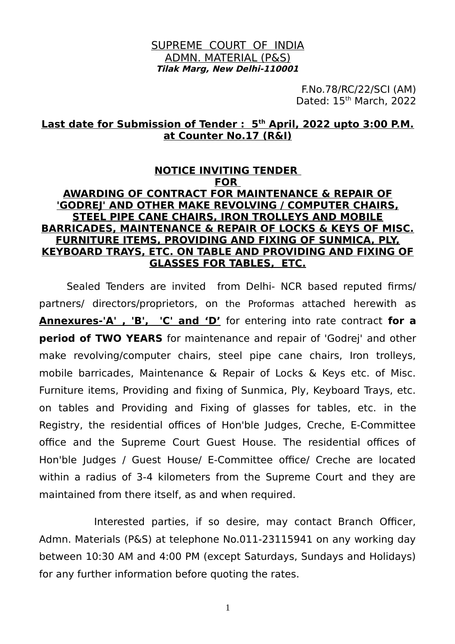#### SUPREME COURT OF INDIA ADMN. MATERIAL (P&S) **Tilak Marg, New Delhi-110001**

F.No.78/RC/22/SCI (AM) Dated: 15<sup>th</sup> March, 2022

#### **Last date for Submission of Tender : 5th April, 2022 upto 3:00 P.M. at Counter No.17 (R&I)**

#### **NOTICE INVITING TENDER FOR AWARDING OF CONTRACT FOR MAINTENANCE & REPAIR OF 'GODREJ' AND OTHER MAKE REVOLVING / COMPUTER CHAIRS, STEEL PIPE CANE CHAIRS, IRON TROLLEYS AND MOBILE BARRICADES, MAINTENANCE & REPAIR OF LOCKS & KEYS OF MISC. FURNITURE ITEMS, PROVIDING AND FIXING OF SUNMICA, PLY, KEYBOARD TRAYS, ETC. ON TABLE AND PROVIDING AND FIXING OF GLASSES FOR TABLES, ETC.**

Sealed Tenders are invited from Delhi- NCR based reputed firms/ partners/ directors/proprietors, on the Proformas attached herewith as **Annexures-'A' , 'B', 'C' and 'D'** for entering into rate contract **for a period of TWO YEARS** for maintenance and repair of 'Godrej' and other make revolving/computer chairs, steel pipe cane chairs, Iron trolleys, mobile barricades, Maintenance & Repair of Locks & Keys etc. of Misc. Furniture items, Providing and fixing of Sunmica, Ply, Keyboard Trays, etc. on tables and Providing and Fixing of glasses for tables, etc. in the Registry, the residential offices of Hon'ble Judges, Creche, E-Committee office and the Supreme Court Guest House. The residential offices of Hon'ble Judges / Guest House/ E-Committee office/ Creche are located within a radius of 3-4 kilometers from the Supreme Court and they are maintained from there itself, as and when required.

Interested parties, if so desire, may contact Branch Officer, Admn. Materials (P&S) at telephone No.011-23115941 on any working day between 10:30 AM and 4:00 PM (except Saturdays, Sundays and Holidays) for any further information before quoting the rates.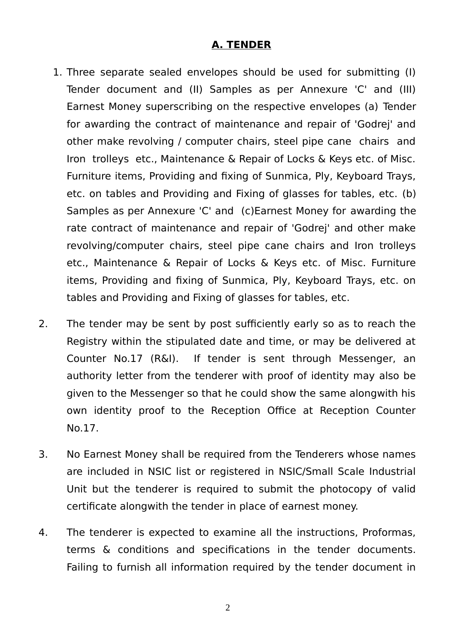## **A. TENDER**

- 1. Three separate sealed envelopes should be used for submitting (I) Tender document and (II) Samples as per Annexure 'C' and (III) Earnest Money superscribing on the respective envelopes (a) Tender for awarding the contract of maintenance and repair of 'Godrej' and other make revolving / computer chairs, steel pipe cane chairs and Iron trolleys etc., Maintenance & Repair of Locks & Keys etc. of Misc. Furniture items, Providing and fixing of Sunmica, Ply, Keyboard Trays, etc. on tables and Providing and Fixing of glasses for tables, etc. (b) Samples as per Annexure 'C' and (c)Earnest Money for awarding the rate contract of maintenance and repair of 'Godrej' and other make revolving/computer chairs, steel pipe cane chairs and Iron trolleys etc., Maintenance & Repair of Locks & Keys etc. of Misc. Furniture items, Providing and fixing of Sunmica, Ply, Keyboard Trays, etc. on tables and Providing and Fixing of glasses for tables, etc.
- 2. The tender may be sent by post sufficiently early so as to reach the Registry within the stipulated date and time, or may be delivered at Counter No.17 (R&I). If tender is sent through Messenger, an authority letter from the tenderer with proof of identity may also be given to the Messenger so that he could show the same alongwith his own identity proof to the Reception Office at Reception Counter No.17.
- 3. No Earnest Money shall be required from the Tenderers whose names are included in NSIC list or registered in NSIC/Small Scale Industrial Unit but the tenderer is required to submit the photocopy of valid certificate alongwith the tender in place of earnest money.
- 4. The tenderer is expected to examine all the instructions, Proformas, terms & conditions and specifications in the tender documents. Failing to furnish all information required by the tender document in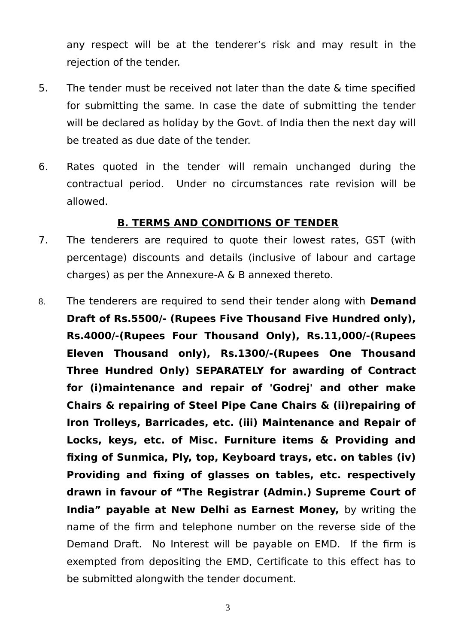any respect will be at the tenderer's risk and may result in the rejection of the tender.

- 5. The tender must be received not later than the date & time specified for submitting the same. In case the date of submitting the tender will be declared as holiday by the Govt. of India then the next day will be treated as due date of the tender.
- 6. Rates quoted in the tender will remain unchanged during the contractual period. Under no circumstances rate revision will be allowed.

### **B. TERMS AND CONDITIONS OF TENDER**

- 7. The tenderers are required to quote their lowest rates, GST (with percentage) discounts and details (inclusive of labour and cartage charges) as per the Annexure-A & B annexed thereto.
- 8. The tenderers are required to send their tender along with **Demand Draft of Rs.5500/- (Rupees Five Thousand Five Hundred only), Rs.4000/-(Rupees Four Thousand Only), Rs.11,000/-(Rupees Eleven Thousand only), Rs.1300/-(Rupees One Thousand Three Hundred Only) SEPARATELY for awarding of Contract for (i)maintenance and repair of 'Godrej' and other make Chairs & repairing of Steel Pipe Cane Chairs & (ii)repairing of Iron Trolleys, Barricades, etc. (iii) Maintenance and Repair of Locks, keys, etc. of Misc. Furniture items & Providing and fixing of Sunmica, Ply, top, Keyboard trays, etc. on tables (iv) Providing and fixing of glasses on tables, etc. respectively drawn in favour of "The Registrar (Admin.) Supreme Court of India" payable at New Delhi as Earnest Money,** by writing the name of the firm and telephone number on the reverse side of the Demand Draft. No Interest will be payable on EMD. If the firm is exempted from depositing the EMD, Certificate to this effect has to be submitted alongwith the tender document.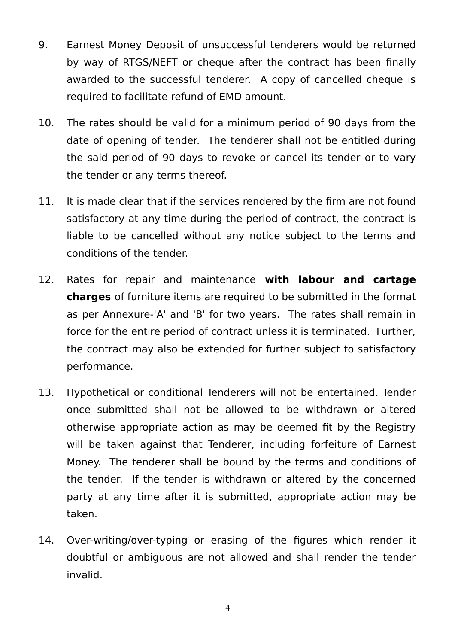- 9. Earnest Money Deposit of unsuccessful tenderers would be returned by way of RTGS/NEFT or cheque after the contract has been finally awarded to the successful tenderer. A copy of cancelled cheque is required to facilitate refund of EMD amount.
- 10. The rates should be valid for a minimum period of 90 days from the date of opening of tender. The tenderer shall not be entitled during the said period of 90 days to revoke or cancel its tender or to vary the tender or any terms thereof.
- 11. It is made clear that if the services rendered by the firm are not found satisfactory at any time during the period of contract, the contract is liable to be cancelled without any notice subject to the terms and conditions of the tender.
- 12. Rates for repair and maintenance **with labour and cartage charges** of furniture items are required to be submitted in the format as per Annexure-'A' and 'B' for two years. The rates shall remain in force for the entire period of contract unless it is terminated. Further, the contract may also be extended for further subject to satisfactory performance.
- 13. Hypothetical or conditional Tenderers will not be entertained. Tender once submitted shall not be allowed to be withdrawn or altered otherwise appropriate action as may be deemed fit by the Registry will be taken against that Tenderer, including forfeiture of Earnest Money. The tenderer shall be bound by the terms and conditions of the tender. If the tender is withdrawn or altered by the concerned party at any time after it is submitted, appropriate action may be taken.
- 14. Over-writing/over-typing or erasing of the figures which render it doubtful or ambiguous are not allowed and shall render the tender invalid.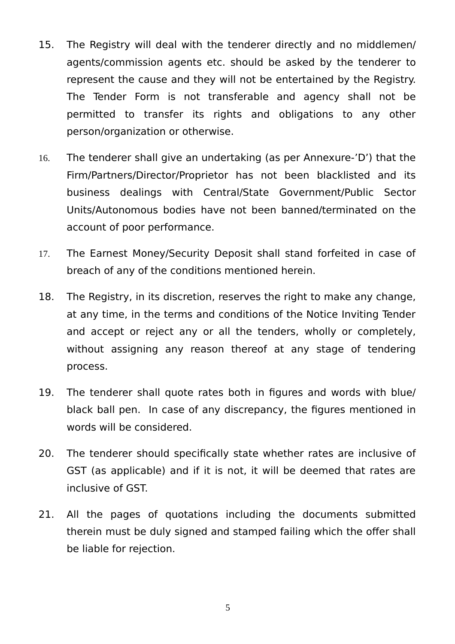- 15. The Registry will deal with the tenderer directly and no middlemen/ agents/commission agents etc. should be asked by the tenderer to represent the cause and they will not be entertained by the Registry. The Tender Form is not transferable and agency shall not be permitted to transfer its rights and obligations to any other person/organization or otherwise.
- 16. The tenderer shall give an undertaking (as per Annexure-'D') that the Firm/Partners/Director/Proprietor has not been blacklisted and its business dealings with Central/State Government/Public Sector Units/Autonomous bodies have not been banned/terminated on the account of poor performance.
- 17. The Earnest Money/Security Deposit shall stand forfeited in case of breach of any of the conditions mentioned herein.
- 18. The Registry, in its discretion, reserves the right to make any change, at any time, in the terms and conditions of the Notice Inviting Tender and accept or reject any or all the tenders, wholly or completely, without assigning any reason thereof at any stage of tendering process.
- 19. The tenderer shall quote rates both in figures and words with blue/ black ball pen. In case of any discrepancy, the figures mentioned in words will be considered.
- 20. The tenderer should specifically state whether rates are inclusive of GST (as applicable) and if it is not, it will be deemed that rates are inclusive of GST.
- 21. All the pages of quotations including the documents submitted therein must be duly signed and stamped failing which the offer shall be liable for rejection.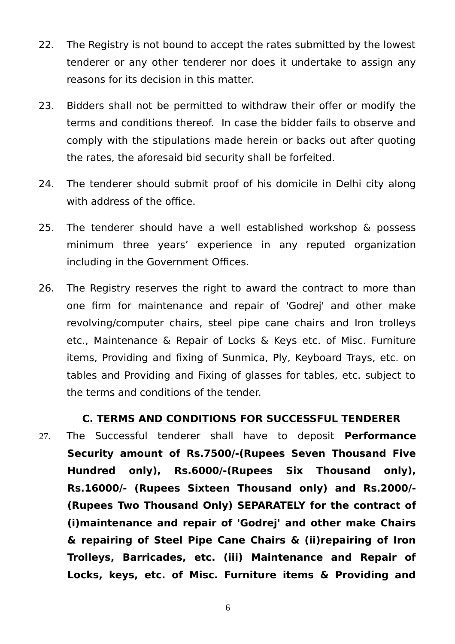- 22. The Registry is not bound to accept the rates submitted by the lowest tenderer or any other tenderer nor does it undertake to assign any reasons for its decision in this matter.
- 23. Bidders shall not be permitted to withdraw their offer or modify the terms and conditions thereof. In case the bidder fails to observe and comply with the stipulations made herein or backs out after quoting the rates, the aforesaid bid security shall be forfeited.
- 24. The tenderer should submit proof of his domicile in Delhi city along with address of the office.
- 25. The tenderer should have a well established workshop & possess minimum three years' experience in any reputed organization including in the Government Offices.
- 26. The Registry reserves the right to award the contract to more than one firm for maintenance and repair of 'Godrej' and other make revolving/computer chairs, steel pipe cane chairs and Iron trolleys etc., Maintenance & Repair of Locks & Keys etc. of Misc. Furniture items, Providing and fixing of Sunmica, Ply, Keyboard Trays, etc. on tables and Providing and Fixing of glasses for tables, etc. subject to the terms and conditions of the tender.

### **C. TERMS AND CONDITIONS FOR SUCCESSFUL TENDERER**

27. The Successful tenderer shall have to deposit **Performance Security amount of Rs.7500/-(Rupees Seven Thousand Five Hundred only), Rs.6000/-(Rupees Six Thousand only), Rs.16000/- (Rupees Sixteen Thousand only) and Rs.2000/- (Rupees Two Thousand Only) SEPARATELY for the contract of (i)maintenance and repair of 'Godrej' and other make Chairs & repairing of Steel Pipe Cane Chairs & (ii)repairing of Iron Trolleys, Barricades, etc. (iii) Maintenance and Repair of Locks, keys, etc. of Misc. Furniture items & Providing and**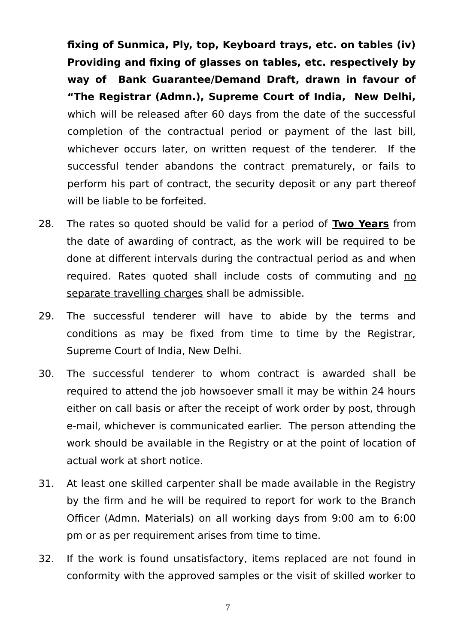**fixing of Sunmica, Ply, top, Keyboard trays, etc. on tables (iv) Providing and fixing of glasses on tables, etc. respectively by way of Bank Guarantee/Demand Draft, drawn in favour of "The Registrar (Admn.), Supreme Court of India, New Delhi,** which will be released after 60 days from the date of the successful completion of the contractual period or payment of the last bill, whichever occurs later, on written request of the tenderer. If the successful tender abandons the contract prematurely, or fails to perform his part of contract, the security deposit or any part thereof will be liable to be forfeited.

- 28. The rates so quoted should be valid for a period of **Two Years** from the date of awarding of contract, as the work will be required to be done at different intervals during the contractual period as and when required. Rates quoted shall include costs of commuting and no separate travelling charges shall be admissible.
- 29. The successful tenderer will have to abide by the terms and conditions as may be fixed from time to time by the Registrar, Supreme Court of India, New Delhi.
- 30. The successful tenderer to whom contract is awarded shall be required to attend the job howsoever small it may be within 24 hours either on call basis or after the receipt of work order by post, through e-mail, whichever is communicated earlier. The person attending the work should be available in the Registry or at the point of location of actual work at short notice.
- 31. At least one skilled carpenter shall be made available in the Registry by the firm and he will be required to report for work to the Branch Officer (Admn. Materials) on all working days from 9:00 am to 6:00 pm or as per requirement arises from time to time.
- 32. If the work is found unsatisfactory, items replaced are not found in conformity with the approved samples or the visit of skilled worker to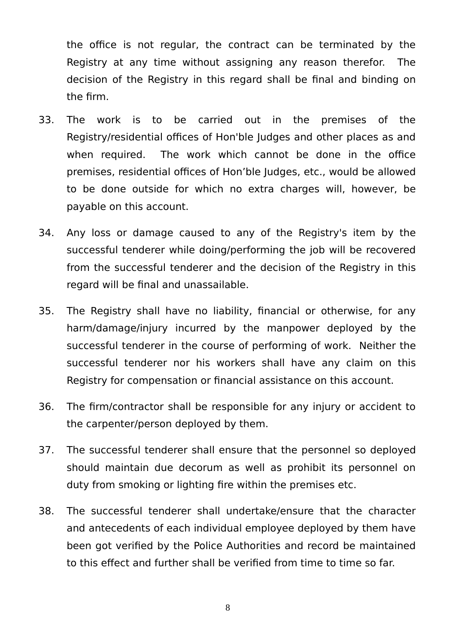the office is not regular, the contract can be terminated by the Registry at any time without assigning any reason therefor. The decision of the Registry in this regard shall be final and binding on the firm.

- 33. The work is to be carried out in the premises of the Registry/residential offices of Hon'ble Judges and other places as and when required. The work which cannot be done in the office premises, residential offices of Hon'ble Judges, etc., would be allowed to be done outside for which no extra charges will, however, be payable on this account.
- 34. Any loss or damage caused to any of the Registry's item by the successful tenderer while doing/performing the job will be recovered from the successful tenderer and the decision of the Registry in this regard will be final and unassailable.
- 35. The Registry shall have no liability, financial or otherwise, for any harm/damage/injury incurred by the manpower deployed by the successful tenderer in the course of performing of work. Neither the successful tenderer nor his workers shall have any claim on this Registry for compensation or financial assistance on this account.
- 36. The firm/contractor shall be responsible for any injury or accident to the carpenter/person deployed by them.
- 37. The successful tenderer shall ensure that the personnel so deployed should maintain due decorum as well as prohibit its personnel on duty from smoking or lighting fire within the premises etc.
- 38. The successful tenderer shall undertake/ensure that the character and antecedents of each individual employee deployed by them have been got verified by the Police Authorities and record be maintained to this effect and further shall be verified from time to time so far.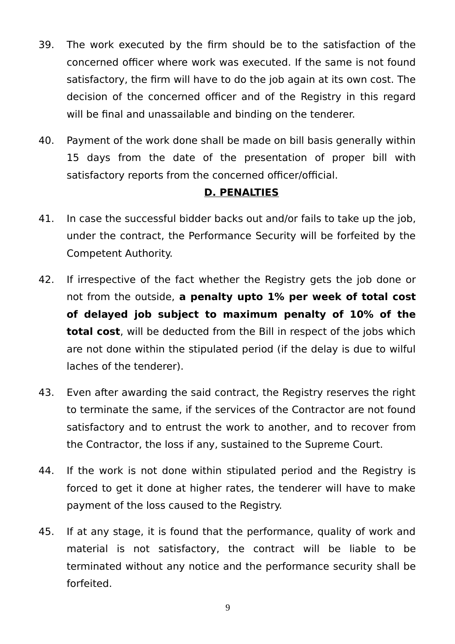- 39. The work executed by the firm should be to the satisfaction of the concerned officer where work was executed. If the same is not found satisfactory, the firm will have to do the job again at its own cost. The decision of the concerned officer and of the Registry in this regard will be final and unassailable and binding on the tenderer.
- 40. Payment of the work done shall be made on bill basis generally within 15 days from the date of the presentation of proper bill with satisfactory reports from the concerned officer/official.

## **D. PENALTIES**

- 41. In case the successful bidder backs out and/or fails to take up the job, under the contract, the Performance Security will be forfeited by the Competent Authority.
- 42. If irrespective of the fact whether the Registry gets the job done or not from the outside, **a penalty upto 1% per week of total cost of delayed job subject to maximum penalty of 10% of the total cost**, will be deducted from the Bill in respect of the jobs which are not done within the stipulated period (if the delay is due to wilful laches of the tenderer).
- 43. Even after awarding the said contract, the Registry reserves the right to terminate the same, if the services of the Contractor are not found satisfactory and to entrust the work to another, and to recover from the Contractor, the loss if any, sustained to the Supreme Court.
- 44. If the work is not done within stipulated period and the Registry is forced to get it done at higher rates, the tenderer will have to make payment of the loss caused to the Registry.
- 45. If at any stage, it is found that the performance, quality of work and material is not satisfactory, the contract will be liable to be terminated without any notice and the performance security shall be forfeited.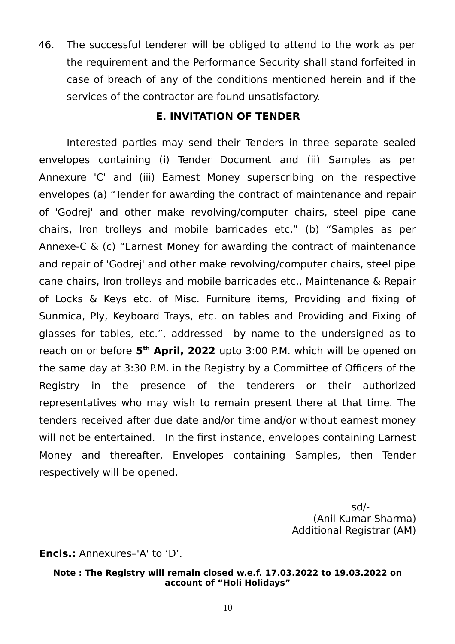46. The successful tenderer will be obliged to attend to the work as per the requirement and the Performance Security shall stand forfeited in case of breach of any of the conditions mentioned herein and if the services of the contractor are found unsatisfactory.

### **E. INVITATION OF TENDER**

Interested parties may send their Tenders in three separate sealed envelopes containing (i) Tender Document and (ii) Samples as per Annexure 'C' and (iii) Earnest Money superscribing on the respective envelopes (a) "Tender for awarding the contract of maintenance and repair of 'Godrej' and other make revolving/computer chairs, steel pipe cane chairs, Iron trolleys and mobile barricades etc." (b) "Samples as per Annexe-C & (c) "Earnest Money for awarding the contract of maintenance and repair of 'Godrej' and other make revolving/computer chairs, steel pipe cane chairs, Iron trolleys and mobile barricades etc., Maintenance & Repair of Locks & Keys etc. of Misc. Furniture items, Providing and fixing of Sunmica, Ply, Keyboard Trays, etc. on tables and Providing and Fixing of glasses for tables, etc.", addressed by name to the undersigned as to reach on or before 5<sup>th</sup> April, 2022 upto 3:00 P.M. which will be opened on the same day at 3:30 P.M. in the Registry by a Committee of Officers of the Registry in the presence of the tenderers or their authorized representatives who may wish to remain present there at that time. The tenders received after due date and/or time and/or without earnest money will not be entertained. In the first instance, envelopes containing Earnest Money and thereafter, Envelopes containing Samples, then Tender respectively will be opened.

> sd/- (Anil Kumar Sharma) Additional Registrar (AM)

**Encls.:** Annexures–'A' to 'D'.

#### **Note : The Registry will remain closed w.e.f. 17.03.2022 to 19.03.2022 on account of "Holi Holidays"**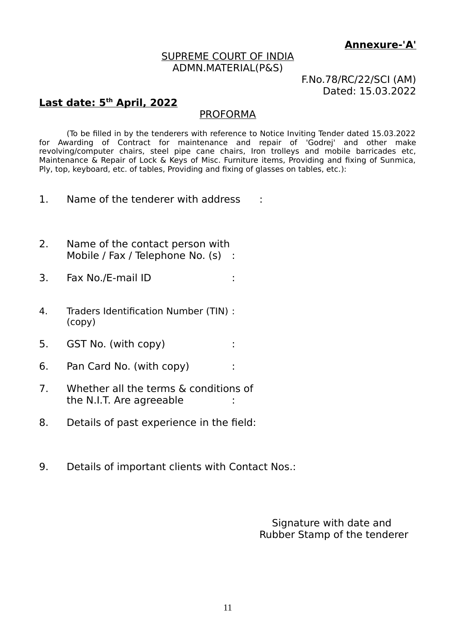#### **Annexure-'A'**

#### SUPREME COURT OF INDIA ADMN.MATERIAL(P&S)

F.No.78/RC/22/SCI (AM) Dated: 15.03.2022

## **Last date: 5th April, 2022**

#### PROFORMA

(To be filled in by the tenderers with reference to Notice Inviting Tender dated 15.03.2022 for Awarding of Contract for maintenance and repair of 'Godrej' and other make revolving/computer chairs, steel pipe cane chairs, Iron trolleys and mobile barricades etc, Maintenance & Repair of Lock & Keys of Misc. Furniture items, Providing and fixing of Sunmica, Ply, top, keyboard, etc. of tables, Providing and fixing of glasses on tables, etc.):

- 1. Name of the tenderer with address :
- 2. Name of the contact person with Mobile / Fax / Telephone No. (s) :
- 3. Fax No./E-mail ID :
- 4. Traders Identification Number (TIN) : (copy)
- 5. GST No. (with copy) :
- 6. Pan Card No. (with copy) :
- 7. Whether all the terms & conditions of the N.I.T. Are agreeable :
- 8. Details of past experience in the field:
- 9. Details of important clients with Contact Nos.:

 Signature with date and Rubber Stamp of the tenderer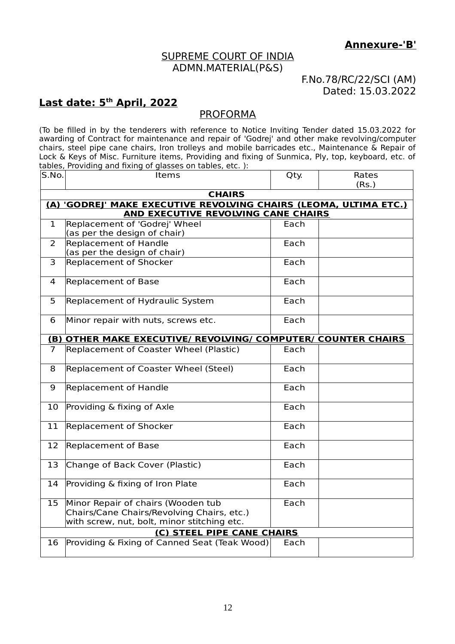#### SUPREME COURT OF INDIA ADMN.MATERIAL(P&S)

#### F.No.78/RC/22/SCI (AM) Dated: 15.03.2022

## **Last date: 5th April, 2022**

### PROFORMA

(To be filled in by the tenderers with reference to Notice Inviting Tender dated 15.03.2022 for awarding of Contract for maintenance and repair of 'Godrej' and other make revolving/computer chairs, steel pipe cane chairs, Iron trolleys and mobile barricades etc., Maintenance & Repair of Lock & Keys of Misc. Furniture items, Providing and fixing of Sunmica, Ply, top, keyboard, etc. of tables, Providing and fixing of glasses on tables, etc. ):

| S.No.        | Items                                                                                                                           | Qty. | Rates<br>(Rs.) |  |  |  |  |
|--------------|---------------------------------------------------------------------------------------------------------------------------------|------|----------------|--|--|--|--|
|              | <b>CHAIRS</b>                                                                                                                   |      |                |  |  |  |  |
|              | (A) 'GODREJ' MAKE EXECUTIVE REVOLVING CHAIRS (LEOMA, ULTIMA ETC.)                                                               |      |                |  |  |  |  |
|              | <b>AND EXECUTIVE REVOLVING CANE CHAIRS</b>                                                                                      |      |                |  |  |  |  |
| $\mathbf{1}$ | Replacement of 'Godrej' Wheel                                                                                                   | Each |                |  |  |  |  |
|              | (as per the design of chair)                                                                                                    |      |                |  |  |  |  |
| 2            | <b>Replacement of Handle</b>                                                                                                    | Each |                |  |  |  |  |
|              | (as per the design of chair)                                                                                                    |      |                |  |  |  |  |
| 3            | <b>Replacement of Shocker</b>                                                                                                   | Each |                |  |  |  |  |
| 4            | <b>Replacement of Base</b>                                                                                                      | Each |                |  |  |  |  |
| 5            | Replacement of Hydraulic System                                                                                                 | Each |                |  |  |  |  |
| 6            | Minor repair with nuts, screws etc.                                                                                             | Each |                |  |  |  |  |
|              | (B) OTHER MAKE EXECUTIVE/ REVOLVING/ COMPUTER/ COUNTER CHAIRS                                                                   |      |                |  |  |  |  |
| 7            | Replacement of Coaster Wheel (Plastic)                                                                                          | Each |                |  |  |  |  |
| 8            | Replacement of Coaster Wheel (Steel)                                                                                            | Each |                |  |  |  |  |
| 9            | Replacement of Handle                                                                                                           | Each |                |  |  |  |  |
| 10           | Providing & fixing of Axle                                                                                                      | Each |                |  |  |  |  |
| 11           | <b>Replacement of Shocker</b>                                                                                                   | Each |                |  |  |  |  |
| 12           | <b>Replacement of Base</b>                                                                                                      | Each |                |  |  |  |  |
| 13           | Change of Back Cover (Plastic)                                                                                                  | Each |                |  |  |  |  |
| 14           | Providing & fixing of Iron Plate                                                                                                | Each |                |  |  |  |  |
| 15           | Minor Repair of chairs (Wooden tub<br>Chairs/Cane Chairs/Revolving Chairs, etc.)<br>with screw, nut, bolt, minor stitching etc. | Each |                |  |  |  |  |
|              | (C) STEEL PIPE CANE CHAIRS                                                                                                      |      |                |  |  |  |  |
| 16           | Providing & Fixing of Canned Seat (Teak Wood)                                                                                   | Each |                |  |  |  |  |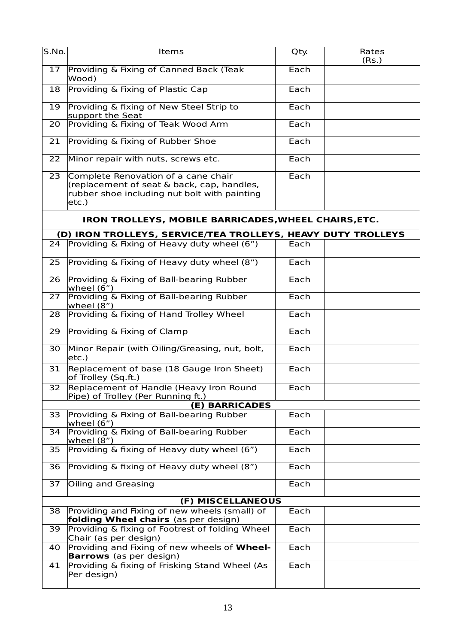| S.No. | Items                                                                                                                                      | Qty. | Rates<br>(Rs.) |
|-------|--------------------------------------------------------------------------------------------------------------------------------------------|------|----------------|
| 17    | Providing & Fixing of Canned Back (Teak<br>Wood)                                                                                           | Each |                |
| 18    | Providing & Fixing of Plastic Cap                                                                                                          | Each |                |
| 19    | Providing & fixing of New Steel Strip to<br>support the Seat                                                                               | Each |                |
| 20    | Providing & Fixing of Teak Wood Arm                                                                                                        | Each |                |
| 21    | Providing & Fixing of Rubber Shoe                                                                                                          | Each |                |
| 22    | Minor repair with nuts, screws etc.                                                                                                        | Each |                |
| 23    | Complete Renovation of a cane chair<br>(replacement of seat & back, cap, handles,<br>rubber shoe including nut bolt with painting<br>etc.) | Each |                |
|       | IRON TROLLEYS, MOBILE BARRICADES, WHEEL CHAIRS, ETC.                                                                                       |      |                |
|       | (D) IRON TROLLEYS, SERVICE/TEA TROLLEYS, HEAVY DUTY TROLLEYS                                                                               |      |                |
| 24    | Providing & Fixing of Heavy duty wheel (6")                                                                                                | Each |                |
| 25    | Providing & Fixing of Heavy duty wheel (8")                                                                                                | Each |                |
| 26    | Providing & Fixing of Ball-bearing Rubber<br>wheel $(6")$                                                                                  | Each |                |
| 27    | Providing & Fixing of Ball-bearing Rubber<br>wheel $(8")$                                                                                  | Each |                |
| 28    | Providing & Fixing of Hand Trolley Wheel                                                                                                   | Each |                |
| 29    | Providing & Fixing of Clamp                                                                                                                | Each |                |
| 30    | Minor Repair (with Oiling/Greasing, nut, bolt,<br>etc.)                                                                                    | Each |                |
| 31    | Replacement of base (18 Gauge Iron Sheet)<br>of Trolley (Sq.ft.)                                                                           | Each |                |
|       | 32 Replacement of Handle (Heavy Iron Round<br>Pipe) of Trolley (Per Running ft.)                                                           | Each |                |
|       | (E) BARRICADES                                                                                                                             |      |                |
| 33    | Providing & Fixing of Ball-bearing Rubber<br>wheel (6")                                                                                    | Each |                |
| 34    | Providing & Fixing of Ball-bearing Rubber<br>wheel $(8")$                                                                                  | Each |                |
| 35    | Providing & fixing of Heavy duty wheel (6")                                                                                                | Each |                |
| 36    | Providing & fixing of Heavy duty wheel (8")                                                                                                | Each |                |
| 37    | Oiling and Greasing                                                                                                                        | Each |                |
|       | (F) MISCELLANEOUS                                                                                                                          |      |                |
| 38    | Providing and Fixing of new wheels (small) of<br>folding Wheel chairs (as per design)                                                      | Each |                |
| 39    | Providing & fixing of Footrest of folding Wheel<br>Chair (as per design)                                                                   | Each |                |
| 40    | Providing and Fixing of new wheels of Wheel-<br><b>Barrows</b> (as per design)                                                             | Each |                |
| 41    | Providing & fixing of Frisking Stand Wheel (As<br>Per design)                                                                              | Each |                |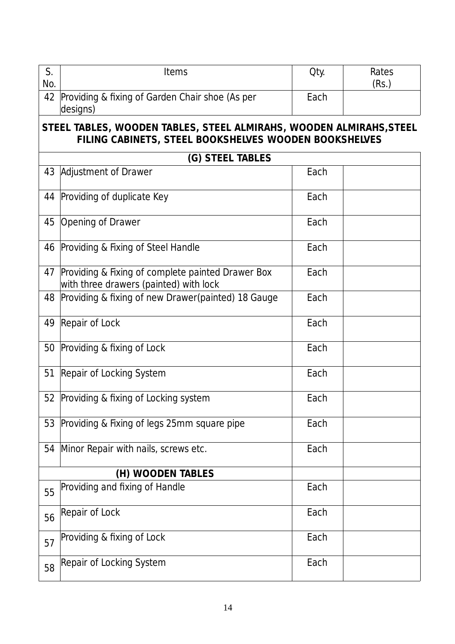| S.<br>No. | Items                                                                                                                        | Qty. | Rates<br>(Rs.) |  |  |  |
|-----------|------------------------------------------------------------------------------------------------------------------------------|------|----------------|--|--|--|
|           | 42 Providing & fixing of Garden Chair shoe (As per<br>designs)                                                               | Each |                |  |  |  |
|           | STEEL TABLES, WOODEN TABLES, STEEL ALMIRAHS, WOODEN ALMIRAHS, STEEL<br>FILING CABINETS, STEEL BOOKSHELVES WOODEN BOOKSHELVES |      |                |  |  |  |
|           | (G) STEEL TABLES                                                                                                             |      |                |  |  |  |
|           | 43 Adjustment of Drawer                                                                                                      | Each |                |  |  |  |
|           | 44 Providing of duplicate Key                                                                                                | Each |                |  |  |  |
| 45        | Opening of Drawer                                                                                                            | Each |                |  |  |  |
| 46        | Providing & Fixing of Steel Handle                                                                                           | Each |                |  |  |  |
|           | 47 Providing & Fixing of complete painted Drawer Box<br>with three drawers (painted) with lock                               | Each |                |  |  |  |
| 48        | Providing & fixing of new Drawer(painted) 18 Gauge                                                                           | Each |                |  |  |  |
|           | 49 Repair of Lock                                                                                                            | Each |                |  |  |  |
| 50        | Providing & fixing of Lock                                                                                                   | Each |                |  |  |  |
|           | 51 Repair of Locking System                                                                                                  | Each |                |  |  |  |
|           | 52 Providing & fixing of Locking system                                                                                      | Each |                |  |  |  |
|           | 53 Providing & Fixing of legs 25mm square pipe                                                                               | Each |                |  |  |  |
| 54        | Minor Repair with nails, screws etc.                                                                                         | Each |                |  |  |  |
|           | (H) WOODEN TABLES                                                                                                            |      |                |  |  |  |
| 55        | Providing and fixing of Handle                                                                                               | Each |                |  |  |  |
| 56        | Repair of Lock                                                                                                               | Each |                |  |  |  |
| 57        | Providing & fixing of Lock                                                                                                   | Each |                |  |  |  |
| 58        | Repair of Locking System                                                                                                     | Each |                |  |  |  |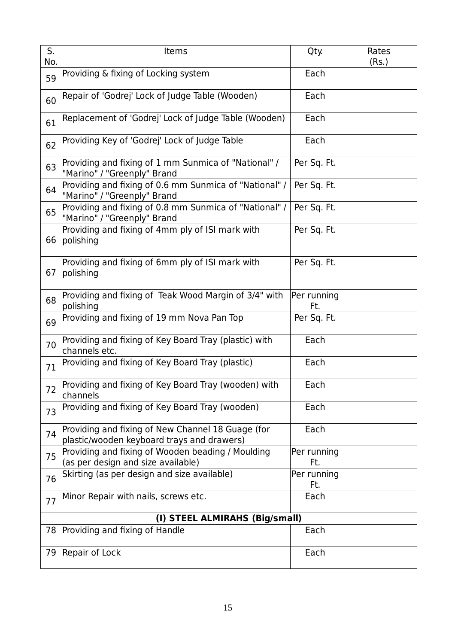| S.<br>No. | Items                                                                                           | Qty.               | Rates<br>(Rs.) |
|-----------|-------------------------------------------------------------------------------------------------|--------------------|----------------|
| 59        | Providing & fixing of Locking system                                                            | Each               |                |
| 60        | Repair of 'Godrej' Lock of Judge Table (Wooden)                                                 | Each               |                |
| 61        | Replacement of 'Godrej' Lock of Judge Table (Wooden)                                            | Each               |                |
| 62        | Providing Key of 'Godrej' Lock of Judge Table                                                   | Each               |                |
| 63        | Providing and fixing of 1 mm Sunmica of "National" /<br>"Marino" / "Greenply" Brand             | Per Sq. Ft.        |                |
| 64        | Providing and fixing of 0.6 mm Sunmica of "National" /<br>"Marino" / "Greenply" Brand           | Per Sq. Ft.        |                |
| 65        | Providing and fixing of 0.8 mm Sunmica of "National" /<br>"Marino" / "Greenply" Brand           | Per Sq. Ft.        |                |
| 66        | Providing and fixing of 4mm ply of ISI mark with<br>polishing                                   | Per Sq. Ft.        |                |
| 67        | Providing and fixing of 6mm ply of ISI mark with<br>polishing                                   | Per Sq. Ft.        |                |
| 68        | Providing and fixing of Teak Wood Margin of 3/4" with<br>polishing                              | Per running<br>Ft. |                |
| 69        | Providing and fixing of 19 mm Nova Pan Top                                                      | Per Sq. Ft.        |                |
| 70        | Providing and fixing of Key Board Tray (plastic) with<br>channels etc.                          | Each               |                |
| 71        | Providing and fixing of Key Board Tray (plastic)                                                | Each               |                |
| 72        | Providing and fixing of Key Board Tray (wooden) with<br>channels                                | Each               |                |
| 73        | Providing and fixing of Key Board Tray (wooden)                                                 | Each               |                |
| 74        | Providing and fixing of New Channel 18 Guage (for<br>plastic/wooden keyboard trays and drawers) | Each               |                |
| 75        | Providing and fixing of Wooden beading / Moulding<br>(as per design and size available)         | Per running<br>Ft. |                |
| 76        | Skirting (as per design and size available)                                                     | Per running<br>Ft. |                |
| 77        | Minor Repair with nails, screws etc.                                                            | Each               |                |
|           | (I) STEEL ALMIRAHS (Big/small)                                                                  |                    |                |
| 78        | Providing and fixing of Handle                                                                  | Each               |                |
| 79        | Repair of Lock                                                                                  | Each               |                |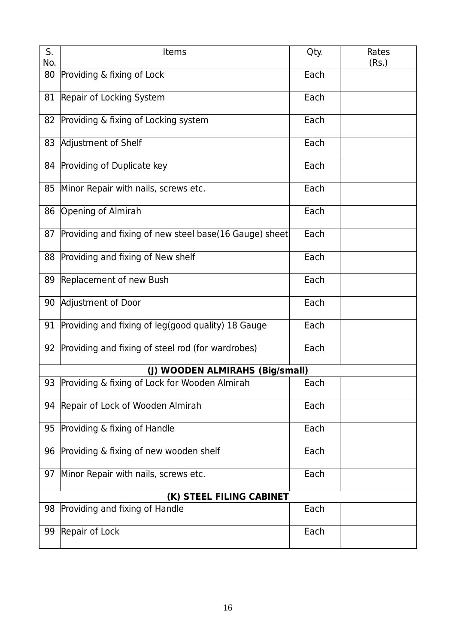| S.<br>No. | Items                                                  | Qty. | Rates<br>(Rs.) |
|-----------|--------------------------------------------------------|------|----------------|
| 80        | Providing & fixing of Lock                             | Each |                |
| 81        | Repair of Locking System                               | Each |                |
| 82        | Providing & fixing of Locking system                   |      |                |
| 83        | Adjustment of Shelf                                    |      |                |
| 84        | Providing of Duplicate key                             |      |                |
| 85        | Minor Repair with nails, screws etc.                   | Each |                |
| 86        | Opening of Almirah                                     | Each |                |
| 87        | Providing and fixing of new steel base(16 Gauge) sheet | Each |                |
| 88        | Providing and fixing of New shelf                      | Each |                |
| 89        | Replacement of new Bush                                | Each |                |
| 90        | Adjustment of Door                                     | Each |                |
| 91        | Providing and fixing of leg(good quality) 18 Gauge     | Each |                |
| 92        | Providing and fixing of steel rod (for wardrobes)      | Each |                |
|           | (J) WOODEN ALMIRAHS (Big/small)                        |      |                |
|           | 93 Providing & fixing of Lock for Wooden Almirah       | Each |                |
| 94        | Repair of Lock of Wooden Almirah                       | Each |                |
| 95        | Providing & fixing of Handle                           | Each |                |
| 96        | Providing & fixing of new wooden shelf                 | Each |                |
| 97        | Minor Repair with nails, screws etc.                   | Each |                |
|           | (K) STEEL FILING CABINET                               |      |                |
| 98        | Providing and fixing of Handle                         | Each |                |
| 99        | Repair of Lock                                         | Each |                |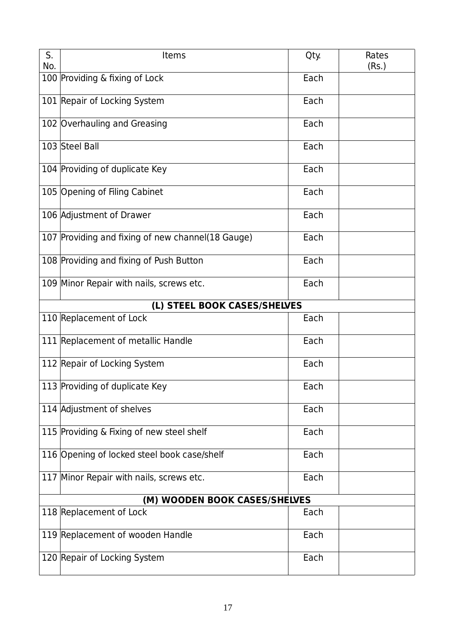| S.<br>No. | Items                                             | Qty. | Rates<br>(Rs.) |
|-----------|---------------------------------------------------|------|----------------|
|           | 100 Providing & fixing of Lock                    | Each |                |
|           | 101 Repair of Locking System                      | Each |                |
|           | 102 Overhauling and Greasing                      | Each |                |
|           | 103 Steel Ball                                    | Each |                |
|           | 104 Providing of duplicate Key                    | Each |                |
|           | 105 Opening of Filing Cabinet                     | Each |                |
|           | 106 Adjustment of Drawer                          | Each |                |
|           | 107 Providing and fixing of new channel(18 Gauge) | Each |                |
|           | 108 Providing and fixing of Push Button           | Each |                |
|           | 109 Minor Repair with nails, screws etc.          | Each |                |
|           | (L) STEEL BOOK CASES/SHELVES                      |      |                |
|           | 110 Replacement of Lock                           | Each |                |
|           | 111 Replacement of metallic Handle                | Each |                |
|           | 112 Repair of Locking System                      | Each |                |
|           | 113 Providing of duplicate Key                    | Each |                |
|           | 114 Adjustment of shelves                         | Each |                |
|           | 115 Providing & Fixing of new steel shelf         | Each |                |
|           | 116 Opening of locked steel book case/shelf       | Each |                |
|           | 117 Minor Repair with nails, screws etc.          | Each |                |
|           | (M) WOODEN BOOK CASES/SHELVES                     |      |                |
|           | 118 Replacement of Lock                           | Each |                |
|           | 119 Replacement of wooden Handle                  | Each |                |
|           | 120 Repair of Locking System                      | Each |                |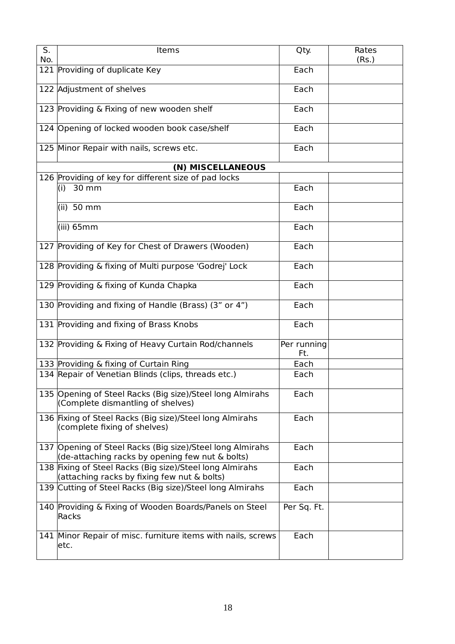| S.<br>No. | Items                                                                                                        | Qty.               | Rates<br>(Rs.) |
|-----------|--------------------------------------------------------------------------------------------------------------|--------------------|----------------|
|           | 121 Providing of duplicate Key                                                                               | Each               |                |
|           | 122 Adjustment of shelves                                                                                    | Each               |                |
|           | 123 Providing & Fixing of new wooden shelf                                                                   | Each               |                |
|           | 124 Opening of locked wooden book case/shelf                                                                 | Each               |                |
|           | 125 Minor Repair with nails, screws etc.                                                                     | Each               |                |
|           | (N) MISCELLANEOUS                                                                                            |                    |                |
|           | 126 Providing of key for different size of pad locks                                                         |                    |                |
|           | $(i)$ 30 mm                                                                                                  | Each               |                |
|           | $(ii)$ 50 mm                                                                                                 | Each               |                |
|           | $(iii)$ 65mm                                                                                                 | Each               |                |
|           | 127 Providing of Key for Chest of Drawers (Wooden)                                                           | Each               |                |
|           | 128 Providing & fixing of Multi purpose 'Godrej' Lock                                                        | Each               |                |
|           | 129 Providing & fixing of Kunda Chapka                                                                       | Each               |                |
|           | 130 Providing and fixing of Handle (Brass) (3" or 4")                                                        | Each               |                |
|           | 131 Providing and fixing of Brass Knobs                                                                      | Each               |                |
|           | 132 Providing & Fixing of Heavy Curtain Rod/channels                                                         | Per running<br>Ft. |                |
|           | 133 Providing & fixing of Curtain Ring                                                                       | Each               |                |
|           | 134 Repair of Venetian Blinds (clips, threads etc.)                                                          | Each               |                |
|           | 135 Opening of Steel Racks (Big size)/Steel long Almirahs<br>(Complete dismantling of shelves)               | Each               |                |
|           | 136 Fixing of Steel Racks (Big size)/Steel long Almirahs<br>(complete fixing of shelves)                     | Each               |                |
|           | 137 Opening of Steel Racks (Big size)/Steel long Almirahs<br>(de-attaching racks by opening few nut & bolts) | Each               |                |
|           | 138 Fixing of Steel Racks (Big size)/Steel long Almirahs<br>(attaching racks by fixing few nut & bolts)      | Each               |                |
|           | 139 Cutting of Steel Racks (Big size)/Steel long Almirahs                                                    | Each               |                |
|           | 140 Providing & Fixing of Wooden Boards/Panels on Steel<br>Racks                                             | Per Sq. Ft.        |                |
|           | 141 Minor Repair of misc. furniture items with nails, screws<br>etc.                                         | Each               |                |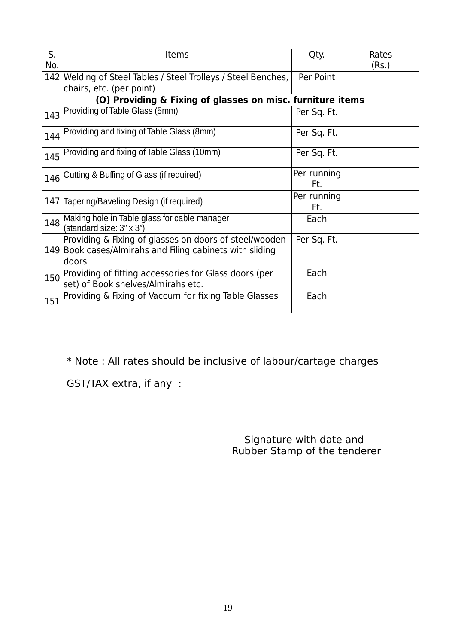| S.  | Items                                                                                                                       | Qty.               | Rates |
|-----|-----------------------------------------------------------------------------------------------------------------------------|--------------------|-------|
| No. |                                                                                                                             |                    | (Rs.) |
|     | 142 Welding of Steel Tables / Steel Trolleys / Steel Benches,                                                               | Per Point          |       |
|     | chairs, etc. (per point)                                                                                                    |                    |       |
|     | (O) Providing & Fixing of glasses on misc. furniture items                                                                  |                    |       |
| 143 | Providing of Table Glass (5mm)                                                                                              | Per Sq. Ft.        |       |
| 144 | Providing and fixing of Table Glass (8mm)                                                                                   | Per Sq. Ft.        |       |
| 145 | Providing and fixing of Table Glass (10mm)                                                                                  | Per Sq. Ft.        |       |
| 146 | Cutting & Buffing of Glass (if required)                                                                                    | Per running<br>Ft. |       |
| 147 | Tapering/Baveling Design (if required)                                                                                      | Per running<br>Ft. |       |
| 148 | Making hole in Table glass for cable manager<br>(standard size: 3" x 3")                                                    | Each               |       |
|     | Providing & Fixing of glasses on doors of steel/wooden<br>149 Book cases/Almirahs and Filing cabinets with sliding<br>doors | Per Sq. Ft.        |       |
| 150 | Providing of fitting accessories for Glass doors (per<br>set) of Book shelves/Almirahs etc.                                 | Each               |       |
| 151 | Providing & Fixing of Vaccum for fixing Table Glasses                                                                       | Each               |       |

\* Note : All rates should be inclusive of labour/cartage charges

GST/TAX extra, if any :

 Signature with date and Rubber Stamp of the tenderer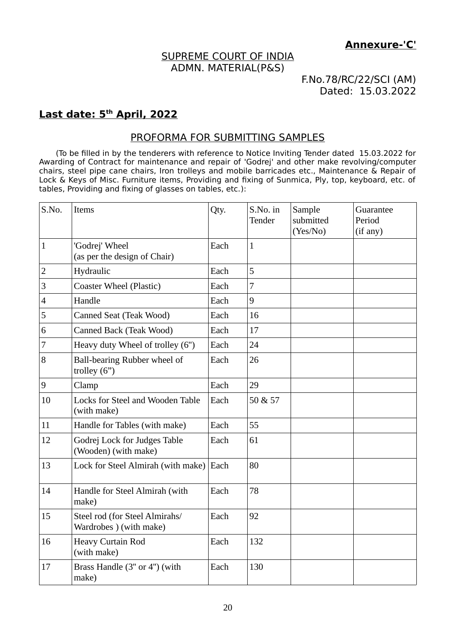### SUPREME COURT OF INDIA ADMN. MATERIAL(P&S)

F.No.78/RC/22/SCI (AM) Dated: 15.03.2022

#### **Last date: 5th April, 2022**

#### PROFORMA FOR SUBMITTING SAMPLES

(To be filled in by the tenderers with reference to Notice Inviting Tender dated 15.03.2022 for Awarding of Contract for maintenance and repair of 'Godrej' and other make revolving/computer chairs, steel pipe cane chairs, Iron trolleys and mobile barricades etc., Maintenance & Repair of Lock & Keys of Misc. Furniture items, Providing and fixing of Sunmica, Ply, top, keyboard, etc. of tables, Providing and fixing of glasses on tables, etc.):

| S.No.            | Items                                                     | Qty. | S.No. in<br>Tender | Sample<br>submitted<br>(Yes/No) | Guarantee<br>Period<br>(if any) |
|------------------|-----------------------------------------------------------|------|--------------------|---------------------------------|---------------------------------|
| $\mathbf{1}$     | 'Godrej' Wheel<br>(as per the design of Chair)            | Each | $\mathbf{1}$       |                                 |                                 |
| $\overline{2}$   | Hydraulic                                                 | Each | 5                  |                                 |                                 |
| $\mathsf 3$      | Coaster Wheel (Plastic)                                   | Each | 7                  |                                 |                                 |
| $\overline{4}$   | Handle                                                    | Each | 9                  |                                 |                                 |
| 5                | Canned Seat (Teak Wood)                                   | Each | 16                 |                                 |                                 |
| 6                | Canned Back (Teak Wood)                                   | Each | 17                 |                                 |                                 |
| $\overline{7}$   | Heavy duty Wheel of trolley (6")                          | Each | 24                 |                                 |                                 |
| 8                | Ball-bearing Rubber wheel of<br>trolley $(6")$            | Each | 26                 |                                 |                                 |
| $\boldsymbol{9}$ | Clamp                                                     | Each | 29                 |                                 |                                 |
| 10               | Locks for Steel and Wooden Table<br>(with make)           | Each | 50 & 57            |                                 |                                 |
| 11               | Handle for Tables (with make)                             | Each | 55                 |                                 |                                 |
| 12               | Godrej Lock for Judges Table<br>(Wooden) (with make)      | Each | 61                 |                                 |                                 |
| 13               | Lock for Steel Almirah (with make)                        | Each | 80                 |                                 |                                 |
| 14               | Handle for Steel Almirah (with<br>make)                   | Each | 78                 |                                 |                                 |
| 15               | Steel rod (for Steel Almirahs/<br>Wardrobes ) (with make) | Each | 92                 |                                 |                                 |
| 16               | <b>Heavy Curtain Rod</b><br>(with make)                   | Each | 132                |                                 |                                 |
| 17               | Brass Handle (3" or 4") (with<br>make)                    | Each | 130                |                                 |                                 |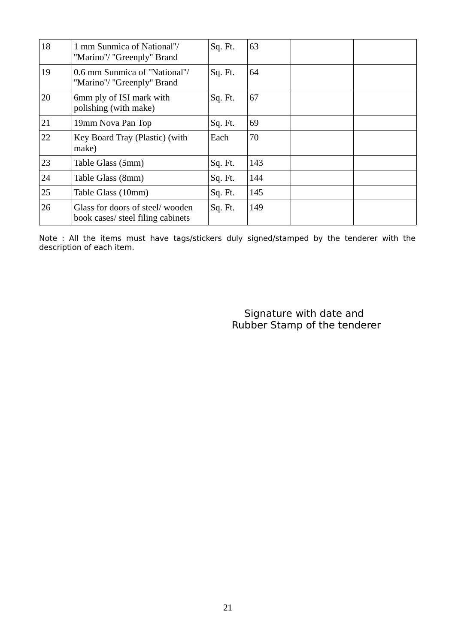| 18 | 1 mm Sunmica of National"/<br>"Marino"/ "Greenply" Brand             | Sq. Ft. | 63  |  |
|----|----------------------------------------------------------------------|---------|-----|--|
| 19 | 0.6 mm Sunmica of "National"/<br>"Marino"/ "Greenply" Brand          | Sq. Ft. | 64  |  |
| 20 | 6mm ply of ISI mark with<br>polishing (with make)                    | Sq. Ft. | 67  |  |
| 21 | 19mm Nova Pan Top                                                    | Sq. Ft. | 69  |  |
| 22 | Key Board Tray (Plastic) (with<br>make)                              | Each    | 70  |  |
| 23 | Table Glass (5mm)                                                    | Sq. Ft. | 143 |  |
| 24 | Table Glass (8mm)                                                    | Sq. Ft. | 144 |  |
| 25 | Table Glass (10mm)                                                   | Sq. Ft. | 145 |  |
| 26 | Glass for doors of steel/wooden<br>book cases/ steel filing cabinets | Sq. Ft. | 149 |  |

Note : All the items must have tags/stickers duly signed/stamped by the tenderer with the description of each item.

> Signature with date and Rubber Stamp of the tenderer